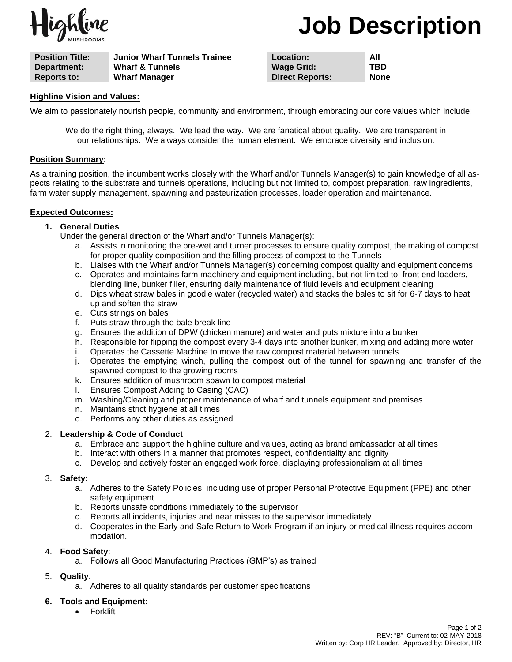

# **Job Description**

| <b>Position Title:</b> | Junior Wharf Tunnels Trainee | Location:              | All         |
|------------------------|------------------------------|------------------------|-------------|
| Department:            | <b>Wharf &amp; Tunnels</b>   | <b>Wage Grid:</b>      | <b>TBD</b>  |
| <b>Reports to:</b>     | <b>Wharf Manager</b>         | <b>Direct Reports:</b> | <b>None</b> |

## **Highline Vision and Values:**

We aim to passionately nourish people, community and environment, through embracing our core values which include:

We do the right thing, always. We lead the way. We are fanatical about quality. We are transparent in our relationships. We always consider the human element. We embrace diversity and inclusion.

#### **Position Summary:**

As a training position, the incumbent works closely with the Wharf and/or Tunnels Manager(s) to gain knowledge of all aspects relating to the substrate and tunnels operations, including but not limited to, compost preparation, raw ingredients, farm water supply management, spawning and pasteurization processes, loader operation and maintenance.

## **Expected Outcomes:**

## **1. General Duties**

Under the general direction of the Wharf and/or Tunnels Manager(s):

- a. Assists in monitoring the pre-wet and turner processes to ensure quality compost, the making of compost for proper quality composition and the filling process of compost to the Tunnels
- b. Liaises with the Wharf and/or Tunnels Manager(s) concerning compost quality and equipment concerns
- c. Operates and maintains farm machinery and equipment including, but not limited to, front end loaders, blending line, bunker filler, ensuring daily maintenance of fluid levels and equipment cleaning
- d. Dips wheat straw bales in goodie water (recycled water) and stacks the bales to sit for 6-7 days to heat up and soften the straw
- e. Cuts strings on bales
- f. Puts straw through the bale break line
- g. Ensures the addition of DPW (chicken manure) and water and puts mixture into a bunker
- h. Responsible for flipping the compost every 3-4 days into another bunker, mixing and adding more water
- i. Operates the Cassette Machine to move the raw compost material between tunnels
- j. Operates the emptying winch, pulling the compost out of the tunnel for spawning and transfer of the spawned compost to the growing rooms
- k. Ensures addition of mushroom spawn to compost material
- l. Ensures Compost Adding to Casing (CAC)
- m. Washing/Cleaning and proper maintenance of wharf and tunnels equipment and premises
- n. Maintains strict hygiene at all times
- o. Performs any other duties as assigned

## 2. **Leadership & Code of Conduct**

- a. Embrace and support the highline culture and values, acting as brand ambassador at all times
- b. Interact with others in a manner that promotes respect, confidentiality and dignity
- c. Develop and actively foster an engaged work force, displaying professionalism at all times

## 3. **Safety**:

- a. Adheres to the Safety Policies, including use of proper Personal Protective Equipment (PPE) and other safety equipment
- b. Reports unsafe conditions immediately to the supervisor
- c. Reports all incidents, injuries and near misses to the supervisor immediately
- d. Cooperates in the Early and Safe Return to Work Program if an injury or medical illness requires accommodation.

# 4. **Food Safety**:

a. Follows all Good Manufacturing Practices (GMP's) as trained

# 5. **Quality**:

a. Adheres to all quality standards per customer specifications

# **6. Tools and Equipment:**

• Forklift